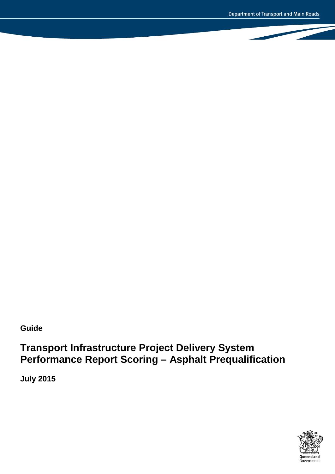**Guide**

# **Transport Infrastructure Project Delivery System Performance Report Scoring – Asphalt Prequalification**

**July 2015**

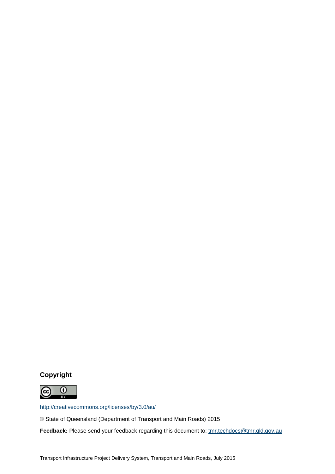## **Copyright**



<http://creativecommons.org/licenses/by/3.0/au/>

© State of Queensland (Department of Transport and Main Roads) 2015

Feedback: Please send your feedback regarding this document to: [tmr.techdocs@tmr.qld.gov.au](mailto:tmr.techdocs@tmr.qld.gov.au)

Transport Infrastructure Project Delivery System, Transport and Main Roads, July 2015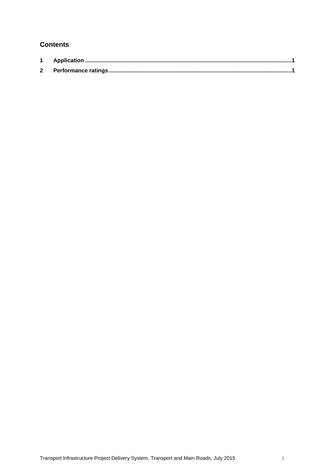## **Contents**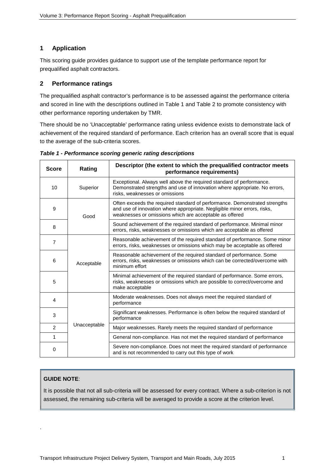### <span id="page-3-0"></span>**1 Application**

This scoring guide provides guidance to support use of the template performance report for prequalified asphalt contractors.

### <span id="page-3-1"></span>**2 Performance ratings**

The prequalified asphalt contractor's performance is to be assessed against the performance criteria and scored in line with the descriptions outlined in Table 1 and Table 2 to promote consistency with other performance reporting undertaken by TMR.

There should be no 'Unacceptable' performance rating unless evidence exists to demonstrate lack of achievement of the required standard of performance. Each criterion has an overall score that is equal to the average of the sub-criteria scores.

| <b>Score</b>   | Rating       | Descriptor (the extent to which the prequalified contractor meets<br>performance requirements)                                                                                                                    |
|----------------|--------------|-------------------------------------------------------------------------------------------------------------------------------------------------------------------------------------------------------------------|
| 10             | Superior     | Exceptional. Always well above the required standard of performance.<br>Demonstrated strengths and use of innovation where appropriate. No errors,<br>risks, weaknesses or omissions                              |
| 9              | Good         | Often exceeds the required standard of performance. Demonstrated strengths<br>and use of innovation where appropriate. Negligible minor errors, risks,<br>weaknesses or omissions which are acceptable as offered |
| 8              |              | Sound achievement of the required standard of performance. Minimal minor<br>errors, risks, weaknesses or omissions which are acceptable as offered                                                                |
| 7              |              | Reasonable achievement of the required standard of performance. Some minor<br>errors, risks, weaknesses or omissions which may be acceptable as offered                                                           |
| 6              | Acceptable   | Reasonable achievement of the required standard of performance. Some<br>errors, risks, weaknesses or omissions which can be corrected/overcome with<br>minimum effort                                             |
| 5              |              | Minimal achievement of the required standard of performance. Some errors,<br>risks, weaknesses or omissions which are possible to correct/overcome and<br>make acceptable                                         |
| 4              |              | Moderate weaknesses. Does not always meet the required standard of<br>performance                                                                                                                                 |
| 3              |              | Significant weaknesses. Performance is often below the required standard of<br>performance                                                                                                                        |
| $\overline{2}$ | Unacceptable | Major weaknesses. Rarely meets the required standard of performance                                                                                                                                               |
| 1              |              | General non-compliance. Has not met the required standard of performance                                                                                                                                          |
| $\Omega$       |              | Severe non-compliance. Does not meet the required standard of performance<br>and is not recommended to carry out this type of work                                                                                |

*Table 1 - Performance scoring generic rating descriptions*

#### **GUIDE NOTE**:

.

It is possible that not all sub-criteria will be assessed for every contract. Where a sub-criterion is not assessed, the remaining sub-criteria will be averaged to provide a score at the criterion level.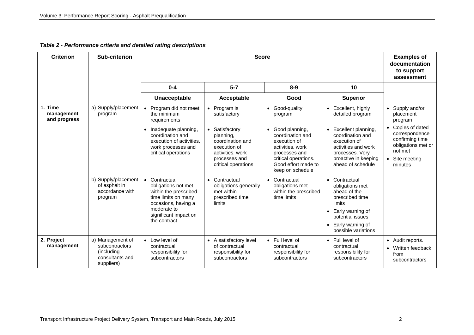#### *Table 2 - Performance criteria and detailed rating descriptions*

| <b>Criterion</b>                      | Sub-criterion                                                                      |                                                                                                                                                                   | <b>Examples of</b><br>documentation<br>to support<br>assessment                                                             |                                                                                                                                                                         |                                                                                                                                                                             |                                                                                                                  |
|---------------------------------------|------------------------------------------------------------------------------------|-------------------------------------------------------------------------------------------------------------------------------------------------------------------|-----------------------------------------------------------------------------------------------------------------------------|-------------------------------------------------------------------------------------------------------------------------------------------------------------------------|-----------------------------------------------------------------------------------------------------------------------------------------------------------------------------|------------------------------------------------------------------------------------------------------------------|
|                                       |                                                                                    | $0 - 4$                                                                                                                                                           | $5 - 7$                                                                                                                     | $8 - 9$                                                                                                                                                                 | 10                                                                                                                                                                          |                                                                                                                  |
|                                       |                                                                                    | Unacceptable                                                                                                                                                      | Acceptable                                                                                                                  | Good                                                                                                                                                                    | <b>Superior</b>                                                                                                                                                             |                                                                                                                  |
| 1. Time<br>management<br>and progress | a) Supply/placement<br>program                                                     | Program did not meet<br>the minimum<br>requirements                                                                                                               | • Program is<br>satisfactory                                                                                                | Good-quality<br>$\bullet$<br>program                                                                                                                                    | Excellent, highly<br>detailed program                                                                                                                                       | Supply and/or<br>placement<br>program                                                                            |
|                                       |                                                                                    | • Inadequate planning,<br>coordination and<br>execution of activities.<br>work processes and<br>critical operations                                               | • Satisfactory<br>planning,<br>coordination and<br>execution of<br>activities, work<br>processes and<br>critical operations | Good planning,<br>$\bullet$<br>coordination and<br>execution of<br>activities, work<br>processes and<br>critical operations.<br>Good effort made to<br>keep on schedule | Excellent planning,<br>coordination and<br>execution of<br>activities and work<br>processes. Very<br>proactive in keeping<br>ahead of schedule                              | Copies of dated<br>correspondence<br>confirming time<br>obligations met or<br>not met<br>Site meeting<br>minutes |
|                                       | b) Supply/placement<br>of asphalt in<br>accordance with<br>program                 | Contractual<br>obligations not met<br>within the prescribed<br>time limits on many<br>occasions, having a<br>moderate to<br>significant impact on<br>the contract | • Contractual<br>obligations generally<br>met within<br>prescribed time<br>limits                                           | Contractual<br>$\bullet$<br>obligations met<br>within the prescribed<br>time limits                                                                                     | Contractual<br>$\bullet$<br>obligations met<br>ahead of the<br>prescribed time<br>limits<br>Early warning of<br>potential issues<br>Early warning of<br>possible variations |                                                                                                                  |
| 2. Project<br>management              | a) Management of<br>subcontractors<br>(including)<br>consultants and<br>suppliers) | • Low level of<br>contractual<br>responsibility for<br>subcontractors                                                                                             | • A satisfactory level<br>of contractual<br>responsibility for<br>subcontractors                                            | • Full level of<br>contractual<br>responsibility for<br>subcontractors                                                                                                  | $\bullet$ Full level of<br>contractual<br>responsibility for<br>subcontractors                                                                                              | • Audit reports.<br>Written feedback<br>from<br>subcontractors                                                   |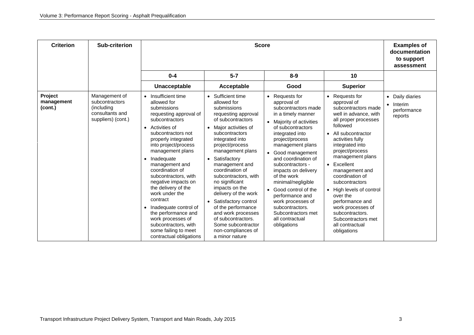| <b>Criterion</b>                 | <b>Sub-criterion</b>                                                                   |                                                                                                                                                                                                                                                                                                                                                                                                                                                                                                                                                          | <b>Score</b>                                                                                                                                                                                                                                                                                                                                                                                                                                                                                          |                                                                                                                                                                                                                                                                                                                                                                                                                                                                                                           |                                                                                                                                                                                                                                                                                                                                                                                                                                                                    | <b>Examples of</b><br>documentation<br>to support<br>assessment              |
|----------------------------------|----------------------------------------------------------------------------------------|----------------------------------------------------------------------------------------------------------------------------------------------------------------------------------------------------------------------------------------------------------------------------------------------------------------------------------------------------------------------------------------------------------------------------------------------------------------------------------------------------------------------------------------------------------|-------------------------------------------------------------------------------------------------------------------------------------------------------------------------------------------------------------------------------------------------------------------------------------------------------------------------------------------------------------------------------------------------------------------------------------------------------------------------------------------------------|-----------------------------------------------------------------------------------------------------------------------------------------------------------------------------------------------------------------------------------------------------------------------------------------------------------------------------------------------------------------------------------------------------------------------------------------------------------------------------------------------------------|--------------------------------------------------------------------------------------------------------------------------------------------------------------------------------------------------------------------------------------------------------------------------------------------------------------------------------------------------------------------------------------------------------------------------------------------------------------------|------------------------------------------------------------------------------|
|                                  |                                                                                        | $0 - 4$                                                                                                                                                                                                                                                                                                                                                                                                                                                                                                                                                  | $5 - 7$                                                                                                                                                                                                                                                                                                                                                                                                                                                                                               | $8 - 9$                                                                                                                                                                                                                                                                                                                                                                                                                                                                                                   | 10                                                                                                                                                                                                                                                                                                                                                                                                                                                                 |                                                                              |
|                                  |                                                                                        | Unacceptable                                                                                                                                                                                                                                                                                                                                                                                                                                                                                                                                             | Acceptable                                                                                                                                                                                                                                                                                                                                                                                                                                                                                            | Good                                                                                                                                                                                                                                                                                                                                                                                                                                                                                                      | <b>Superior</b>                                                                                                                                                                                                                                                                                                                                                                                                                                                    |                                                                              |
| Project<br>management<br>(cont.) | Management of<br>subcontractors<br>(including<br>consultants and<br>suppliers) (cont.) | Insufficient time<br>$\bullet$<br>allowed for<br>submissions<br>requesting approval of<br>subcontractors<br>Activities of<br>$\bullet$<br>subcontractors not<br>properly integrated<br>into project/process<br>management plans<br>Inadequate<br>٠<br>management and<br>coordination of<br>subcontractors, with<br>negative impacts on<br>the delivery of the<br>work under the<br>contract<br>Inadequate control of<br>$\bullet$<br>the performance and<br>work processes of<br>subcontractors, with<br>some failing to meet<br>contractual obligations | • Sufficient time<br>allowed for<br>submissions<br>requesting approval<br>of subcontractors<br>• Major activities of<br>subcontractors<br>integrated into<br>project/process<br>management plans<br>• Satisfactory<br>management and<br>coordination of<br>subcontractors, with<br>no significant<br>impacts on the<br>delivery of the work<br>• Satisfactory control<br>of the performance<br>and work processes<br>of subcontractors.<br>Some subcontractor<br>non-compliances of<br>a minor nature | Requests for<br>$\bullet$<br>approval of<br>subcontractors made<br>in a timely manner<br>Majority of activities<br>$\bullet$<br>of subcontractors<br>integrated into<br>project/process<br>management plans<br>Good management<br>$\bullet$<br>and coordination of<br>subcontractors -<br>impacts on delivery<br>of the work<br>minimal/negligible<br>Good control of the<br>$\bullet$<br>performance and<br>work processes of<br>subcontractors.<br>Subcontractors met<br>all contractual<br>obligations | • Requests for<br>approval of<br>subcontractors made<br>well in advance, with<br>all proper processes<br>followed<br>• All subcontractor<br>activities fully<br>integrated into<br>project/process<br>management plans<br>Excellent<br>$\bullet$<br>management and<br>coordination of<br>subcontractors<br>• High levels of control<br>over the<br>performance and<br>work processes of<br>subcontractors.<br>Subcontractors met<br>all contractual<br>obligations | Daily diaries<br>$\bullet$<br>Interim<br>$\bullet$<br>performance<br>reports |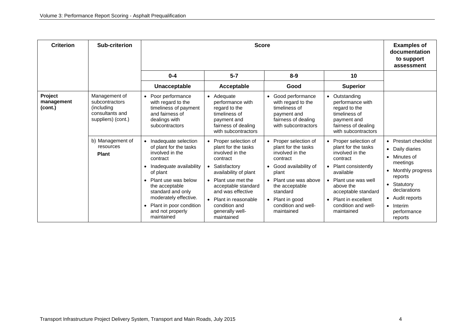| <b>Criterion</b>                 | Sub-criterion                                                                          |                                                                                                                                                                                                                                                                                       | <b>Examples of</b><br>documentation<br>to support<br>assessment                                                                                                                                                                                                      |                                                                                                                                                                                                                                                 |                                                                                                                                                                                                                                                      |                                                                                                                                                                                                                                                 |
|----------------------------------|----------------------------------------------------------------------------------------|---------------------------------------------------------------------------------------------------------------------------------------------------------------------------------------------------------------------------------------------------------------------------------------|----------------------------------------------------------------------------------------------------------------------------------------------------------------------------------------------------------------------------------------------------------------------|-------------------------------------------------------------------------------------------------------------------------------------------------------------------------------------------------------------------------------------------------|------------------------------------------------------------------------------------------------------------------------------------------------------------------------------------------------------------------------------------------------------|-------------------------------------------------------------------------------------------------------------------------------------------------------------------------------------------------------------------------------------------------|
|                                  |                                                                                        | $0 - 4$                                                                                                                                                                                                                                                                               | $5 - 7$                                                                                                                                                                                                                                                              | $8 - 9$                                                                                                                                                                                                                                         | 10                                                                                                                                                                                                                                                   |                                                                                                                                                                                                                                                 |
|                                  |                                                                                        | Unacceptable                                                                                                                                                                                                                                                                          | Acceptable                                                                                                                                                                                                                                                           | Good                                                                                                                                                                                                                                            | <b>Superior</b>                                                                                                                                                                                                                                      |                                                                                                                                                                                                                                                 |
| Project<br>management<br>(cont.) | Management of<br>subcontractors<br>(including<br>consultants and<br>suppliers) (cont.) | Poor performance<br>with regard to the<br>timeliness of payment<br>and fairness of<br>dealings with<br>subcontractors                                                                                                                                                                 | • Adequate<br>performance with<br>regard to the<br>timeliness of<br>payment and<br>fairness of dealing<br>with subcontractors                                                                                                                                        | Good performance<br>$\bullet$<br>with regard to the<br>timeliness of<br>payment and<br>fairness of dealing<br>with subcontractors                                                                                                               | • Outstanding<br>performance with<br>regard to the<br>timeliness of<br>payment and<br>fairness of dealing<br>with subcontractors                                                                                                                     |                                                                                                                                                                                                                                                 |
|                                  | b) Management of<br>resources<br><b>Plant</b>                                          | Inadequate selection<br>of plant for the tasks<br>involved in the<br>contract<br>Inadequate availability<br>of plant<br>Plant use was below<br>the acceptable<br>standard and only<br>moderately effective.<br>Plant in poor condition<br>$\bullet$<br>and not properly<br>maintained | • Proper selection of<br>plant for the tasks<br>involved in the<br>contract<br>• Satisfactory<br>availability of plant<br>• Plant use met the<br>acceptable standard<br>and was effective<br>• Plant in reasonable<br>condition and<br>generally well-<br>maintained | Proper selection of<br>plant for the tasks<br>involved in the<br>contract<br>Good availability of<br>$\bullet$<br>plant<br>Plant use was above<br>the acceptable<br>standard<br>Plant in good<br>$\bullet$<br>condition and well-<br>maintained | • Proper selection of<br>plant for the tasks<br>involved in the<br>contract<br>• Plant consistently<br>available<br>Plant use was well<br>$\bullet$<br>above the<br>acceptable standard<br>• Plant in excellent<br>condition and well-<br>maintained | <b>Prestart checklist</b><br>$\bullet$<br>Daily diaries<br>$\bullet$<br>Minutes of<br>meetings<br>Monthly progress<br>reports<br>Statutory<br>$\bullet$<br>declarations<br>Audit reports<br>٠<br>Interim<br>$\bullet$<br>performance<br>reports |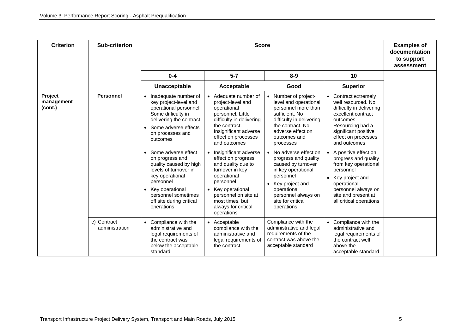| <b>Criterion</b>                 | <b>Sub-criterion</b>          | <b>Score</b>                                                                                                                                                                                                                                                                                                                                                                                                     |                                                                                                                                                                                                                                                                                                                                                                                                                     |                                                                                                                                                                                                                                                                                                                                                                                                 |                                                                                                                                                                                                                                                                                                                                                                                                |  |
|----------------------------------|-------------------------------|------------------------------------------------------------------------------------------------------------------------------------------------------------------------------------------------------------------------------------------------------------------------------------------------------------------------------------------------------------------------------------------------------------------|---------------------------------------------------------------------------------------------------------------------------------------------------------------------------------------------------------------------------------------------------------------------------------------------------------------------------------------------------------------------------------------------------------------------|-------------------------------------------------------------------------------------------------------------------------------------------------------------------------------------------------------------------------------------------------------------------------------------------------------------------------------------------------------------------------------------------------|------------------------------------------------------------------------------------------------------------------------------------------------------------------------------------------------------------------------------------------------------------------------------------------------------------------------------------------------------------------------------------------------|--|
|                                  |                               | $0 - 4$                                                                                                                                                                                                                                                                                                                                                                                                          | $5 - 7$                                                                                                                                                                                                                                                                                                                                                                                                             | $8 - 9$                                                                                                                                                                                                                                                                                                                                                                                         | 10                                                                                                                                                                                                                                                                                                                                                                                             |  |
|                                  |                               | Unacceptable                                                                                                                                                                                                                                                                                                                                                                                                     | Acceptable                                                                                                                                                                                                                                                                                                                                                                                                          | Good                                                                                                                                                                                                                                                                                                                                                                                            | <b>Superior</b>                                                                                                                                                                                                                                                                                                                                                                                |  |
| Project<br>management<br>(cont.) | <b>Personnel</b>              | Inadequate number of<br>key project-level and<br>operational personnel.<br>Some difficulty in<br>delivering the contract<br>Some adverse effects<br>$\bullet$<br>on processes and<br>outcomes<br>Some adverse effect<br>on progress and<br>quality caused by high<br>levels of turnover in<br>key operational<br>personnel<br>• Key operational<br>personnel sometimes<br>off site during critical<br>operations | • Adequate number of<br>project-level and<br>operational<br>personnel. Little<br>difficulty in delivering<br>the contract.<br>Insignificant adverse<br>effect on processes<br>and outcomes<br>Insignificant adverse<br>effect on progress<br>and quality due to<br>turnover in key<br>operational<br>personnel<br>• Key operational<br>personnel on site at<br>most times, but<br>always for critical<br>operations | • Number of project-<br>level and operational<br>personnel more than<br>sufficient. No<br>difficulty in delivering<br>the contract. No<br>adverse effect on<br>outcomes and<br>processes<br>• No adverse effect on<br>progress and quality<br>caused by turnover<br>in key operational<br>personnel<br>Key project and<br>operational<br>personnel always on<br>site for critical<br>operations | • Contract extremely<br>well resourced. No<br>difficulty in delivering<br>excellent contract<br>outcomes.<br>Resourcing had a<br>significant positive<br>effect on processes<br>and outcomes<br>• A positive effect on<br>progress and quality<br>from key operational<br>personnel<br>Key project and<br>operational<br>personnel always on<br>site and present at<br>all critical operations |  |
|                                  | c) Contract<br>administration | • Compliance with the<br>administrative and<br>legal requirements of<br>the contract was<br>below the acceptable<br>standard                                                                                                                                                                                                                                                                                     | • Acceptable<br>compliance with the<br>administrative and<br>legal requirements of<br>the contract                                                                                                                                                                                                                                                                                                                  | Compliance with the<br>administrative and legal<br>requirements of the<br>contract was above the<br>acceptable standard                                                                                                                                                                                                                                                                         | • Compliance with the<br>administrative and<br>legal requirements of<br>the contract well<br>above the<br>acceptable standard                                                                                                                                                                                                                                                                  |  |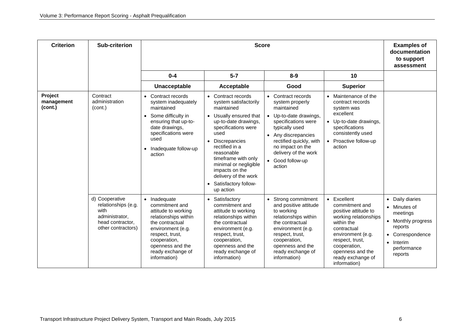| <b>Criterion</b>                 | <b>Sub-criterion</b>                                                                                      | <b>Score</b>                                                                                                                                                                                                                  |                                                                                                                                                                                                                                                                                                                                |                                                                                                                                                                                                                                                               |                                                                                                                                                                                                                              | <b>Examples of</b><br>documentation<br>to support<br>assessment                                                                                                                   |
|----------------------------------|-----------------------------------------------------------------------------------------------------------|-------------------------------------------------------------------------------------------------------------------------------------------------------------------------------------------------------------------------------|--------------------------------------------------------------------------------------------------------------------------------------------------------------------------------------------------------------------------------------------------------------------------------------------------------------------------------|---------------------------------------------------------------------------------------------------------------------------------------------------------------------------------------------------------------------------------------------------------------|------------------------------------------------------------------------------------------------------------------------------------------------------------------------------------------------------------------------------|-----------------------------------------------------------------------------------------------------------------------------------------------------------------------------------|
|                                  |                                                                                                           | $0 - 4$                                                                                                                                                                                                                       | $5 - 7$                                                                                                                                                                                                                                                                                                                        | $8-9$                                                                                                                                                                                                                                                         | 10                                                                                                                                                                                                                           |                                                                                                                                                                                   |
|                                  |                                                                                                           | Unacceptable                                                                                                                                                                                                                  | Acceptable                                                                                                                                                                                                                                                                                                                     | Good                                                                                                                                                                                                                                                          | <b>Superior</b>                                                                                                                                                                                                              |                                                                                                                                                                                   |
| Project<br>management<br>(cont.) | Contract<br>administration<br>(cont.)                                                                     | Contract records<br>$\bullet$<br>system inadequately<br>maintained<br>Some difficulty in<br>$\bullet$<br>ensuring that up-to-<br>date drawings,<br>specifications were<br>used<br>Inadequate follow-up<br>$\bullet$<br>action | • Contract records<br>system satisfactorily<br>maintained<br>• Usually ensured that<br>up-to-date drawings,<br>specifications were<br>used<br>• Discrepancies<br>rectified in a<br>reasonable<br>timeframe with only<br>minimal or negligible<br>impacts on the<br>delivery of the work<br>• Satisfactory follow-<br>up action | • Contract records<br>system properly<br>maintained<br>Up-to-date drawings,<br>$\bullet$<br>specifications were<br>typically used<br>• Any discrepancies<br>rectified quickly, with<br>no impact on the<br>delivery of the work<br>• Good follow-up<br>action | • Maintenance of the<br>contract records<br>system was<br>excellent<br>• Up-to-date drawings,<br>specifications<br>consistently used<br>• Proactive follow-up<br>action                                                      |                                                                                                                                                                                   |
|                                  | d) Cooperative<br>relationships (e.g.<br>with<br>administrator,<br>head contractor,<br>other contractors) | • Inadequate<br>commitment and<br>attitude to working<br>relationships within<br>the contractual<br>environment (e.g.<br>respect, trust,<br>cooperation,<br>openness and the<br>ready exchange of<br>information)             | • Satisfactory<br>commitment and<br>attitude to working<br>relationships within<br>the contractual<br>environment (e.g.<br>respect, trust,<br>cooperation,<br>openness and the<br>ready exchange of<br>information)                                                                                                            | Strong commitment<br>$\bullet$<br>and positive attitude<br>to working<br>relationships within<br>the contractual<br>environment (e.g.<br>respect, trust,<br>cooperation,<br>openness and the<br>ready exchange of<br>information)                             | • Excellent<br>commitment and<br>positive attitude to<br>working relationships<br>within the<br>contractual<br>environment (e.g.<br>respect, trust,<br>cooperation,<br>openness and the<br>ready exchange of<br>information) | Daily diaries<br>$\bullet$<br>Minutes of<br>$\bullet$<br>meetings<br>Monthly progress<br>$\bullet$<br>reports<br>Correspondence<br>Interim<br>$\bullet$<br>performance<br>reports |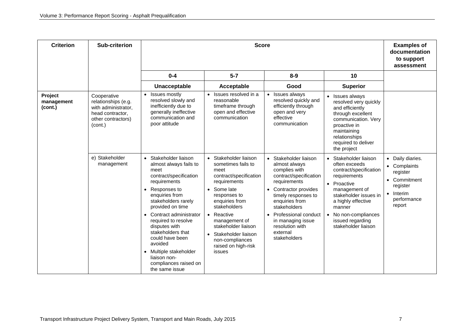| <b>Criterion</b>                 | <b>Sub-criterion</b>                                                                                           |                                                                                                                                                                                                                                                                                                                                                                                                                                          | <b>Score</b>                                                                                                                                                                                                                                                                                  |                                                                                                                                                                                                                                                                                                                    |                                                                                                                                                                                                                                                         |                                                                                                                                                 |
|----------------------------------|----------------------------------------------------------------------------------------------------------------|------------------------------------------------------------------------------------------------------------------------------------------------------------------------------------------------------------------------------------------------------------------------------------------------------------------------------------------------------------------------------------------------------------------------------------------|-----------------------------------------------------------------------------------------------------------------------------------------------------------------------------------------------------------------------------------------------------------------------------------------------|--------------------------------------------------------------------------------------------------------------------------------------------------------------------------------------------------------------------------------------------------------------------------------------------------------------------|---------------------------------------------------------------------------------------------------------------------------------------------------------------------------------------------------------------------------------------------------------|-------------------------------------------------------------------------------------------------------------------------------------------------|
|                                  |                                                                                                                | $0-4$                                                                                                                                                                                                                                                                                                                                                                                                                                    | $5 - 7$                                                                                                                                                                                                                                                                                       | $8-9$                                                                                                                                                                                                                                                                                                              | 10                                                                                                                                                                                                                                                      |                                                                                                                                                 |
|                                  |                                                                                                                | Unacceptable                                                                                                                                                                                                                                                                                                                                                                                                                             | Acceptable                                                                                                                                                                                                                                                                                    | Good                                                                                                                                                                                                                                                                                                               | <b>Superior</b>                                                                                                                                                                                                                                         |                                                                                                                                                 |
| Project<br>management<br>(cont.) | Cooperative<br>relationships (e.g.<br>with administrator,<br>head contractor,<br>other contractors)<br>(cont.) | Issues mostly<br>resolved slowly and<br>inefficiently due to<br>generally ineffective<br>communication and<br>poor attitude                                                                                                                                                                                                                                                                                                              | • Issues resolved in a<br>reasonable<br>timeframe through<br>open and effective<br>communication                                                                                                                                                                                              | Issues always<br>resolved quickly and<br>efficiently through<br>open and very<br>effective<br>communication                                                                                                                                                                                                        | • Issues always<br>resolved very quickly<br>and efficiently<br>through excellent<br>communication. Very<br>proactive in<br>maintaining<br>relationships<br>required to deliver<br>the project                                                           |                                                                                                                                                 |
|                                  | e) Stakeholder<br>management                                                                                   | Stakeholder liaison<br>$\bullet$<br>almost always fails to<br>meet<br>contract/specification<br>requirements<br>Responses to<br>$\bullet$<br>enquiries from<br>stakeholders rarely<br>provided on time<br>Contract administrator<br>$\bullet$<br>required to resolve<br>disputes with<br>stakeholders that<br>could have been<br>avoided<br>Multiple stakeholder<br>$\bullet$<br>liaison non-<br>compliances raised on<br>the same issue | • Stakeholder liaison<br>sometimes fails to<br>meet<br>contract/specification<br>requirements<br>Some late<br>responses to<br>enquiries from<br>stakeholders<br>• Reactive<br>management of<br>stakeholder liaison<br>Stakeholder liaison<br>non-compliances<br>raised on high-risk<br>issues | Stakeholder liaison<br>$\bullet$<br>almost always<br>complies with<br>contract/specification<br>requirements<br>Contractor provides<br>$\bullet$<br>timely responses to<br>enquiries from<br>stakeholders<br>Professional conduct<br>$\bullet$<br>in managing issue<br>resolution with<br>external<br>stakeholders | • Stakeholder liaison<br>often exceeds<br>contract/specification<br>requirements<br>• Proactive<br>management of<br>stakeholder issues in<br>a highly effective<br>manner<br>No non-compliances<br>$\bullet$<br>issued regarding<br>stakeholder liaison | Daily diaries.<br>$\bullet$<br>• Complaints<br>register<br>Commitment<br>$\bullet$<br>register<br>Interim<br>$\bullet$<br>performance<br>report |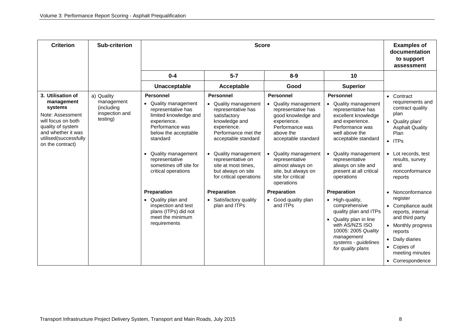| <b>Criterion</b>                                                                                                                                                             | <b>Sub-criterion</b>                                                 |                                                                                                                                                                                                                                                                                                                                                                                | <b>Examples of</b><br>documentation<br>to support<br>assessment                                                                                                                                                                                                                                                                             |                                                                                                                                                                                                                                                                                                                                  |                                                                                                                                                                                                                                                                                                                                                                                   |                                                                                                                                                                                                                                                                                                                                   |
|------------------------------------------------------------------------------------------------------------------------------------------------------------------------------|----------------------------------------------------------------------|--------------------------------------------------------------------------------------------------------------------------------------------------------------------------------------------------------------------------------------------------------------------------------------------------------------------------------------------------------------------------------|---------------------------------------------------------------------------------------------------------------------------------------------------------------------------------------------------------------------------------------------------------------------------------------------------------------------------------------------|----------------------------------------------------------------------------------------------------------------------------------------------------------------------------------------------------------------------------------------------------------------------------------------------------------------------------------|-----------------------------------------------------------------------------------------------------------------------------------------------------------------------------------------------------------------------------------------------------------------------------------------------------------------------------------------------------------------------------------|-----------------------------------------------------------------------------------------------------------------------------------------------------------------------------------------------------------------------------------------------------------------------------------------------------------------------------------|
|                                                                                                                                                                              |                                                                      | $0 - 4$                                                                                                                                                                                                                                                                                                                                                                        | $5 - 7$                                                                                                                                                                                                                                                                                                                                     | $8-9$                                                                                                                                                                                                                                                                                                                            | 10                                                                                                                                                                                                                                                                                                                                                                                |                                                                                                                                                                                                                                                                                                                                   |
|                                                                                                                                                                              |                                                                      | Unacceptable                                                                                                                                                                                                                                                                                                                                                                   | Acceptable                                                                                                                                                                                                                                                                                                                                  | Good                                                                                                                                                                                                                                                                                                                             | <b>Superior</b>                                                                                                                                                                                                                                                                                                                                                                   |                                                                                                                                                                                                                                                                                                                                   |
| 3. Utilisation of<br>management<br>systems<br>Note: Assessment<br>will focus on both<br>quality of system<br>and whether it was<br>utilised(successfully<br>on the contract) | a) Quality<br>management<br>(including<br>inspection and<br>testing) | <b>Personnel</b><br>• Quality management<br>representative has<br>limited knowledge and<br>experience.<br>Performance was<br>below the acceptable<br>standard<br>Quality management<br>representative<br>sometimes off site for<br>critical operations<br>Preparation<br>• Quality plan and<br>inspection and test<br>plans (ITPs) did not<br>meet the minimum<br>requirements | <b>Personnel</b><br>• Quality management<br>representative has<br>satisfactory<br>knowledge and<br>experience.<br>Performance met the<br>acceptable standard<br>• Quality management<br>representative on<br>site at most times.<br>but always on site<br>for critical operations<br>Preparation<br>• Satisfactory quality<br>plan and ITPs | Personnel<br>Quality management<br>representative has<br>good knowledge and<br>experience.<br>Performance was<br>above the<br>acceptable standard<br>Quality management<br>representative<br>almost always on<br>site, but always on<br>site for critical<br>operations<br><b>Preparation</b><br>• Good quality plan<br>and ITPs | <b>Personnel</b><br>• Quality management<br>representative has<br>excellent knowledge<br>and experience.<br>Performance was<br>well above the<br>acceptable standard<br>Quality management<br>representative<br>always on site and<br>present at all critical<br>operations<br>Preparation<br>• High-quality,<br>comprehensive<br>quality plan and ITPs<br>• Quality plan in line | • Contract<br>requirements and<br>contract quality<br>plan<br>• Quality plan/<br><b>Asphalt Quality</b><br>Plan<br>$\bullet$ ITPs<br>Lot records, test<br>$\bullet$<br>results, survey<br>and<br>nonconformance<br>reports<br>Nonconformance<br>$\bullet$<br>register<br>Compliance audit<br>reports, internal<br>and third party |
|                                                                                                                                                                              |                                                                      |                                                                                                                                                                                                                                                                                                                                                                                |                                                                                                                                                                                                                                                                                                                                             |                                                                                                                                                                                                                                                                                                                                  | with AS/NZS ISO<br>10005: 2005 Quality<br>management<br>systems - guidelines<br>for quality plans                                                                                                                                                                                                                                                                                 | Monthly progress<br>$\bullet$<br>reports<br>Daily diaries<br>$\bullet$<br>Copies of<br>$\bullet$<br>meeting minutes<br>• Correspondence                                                                                                                                                                                           |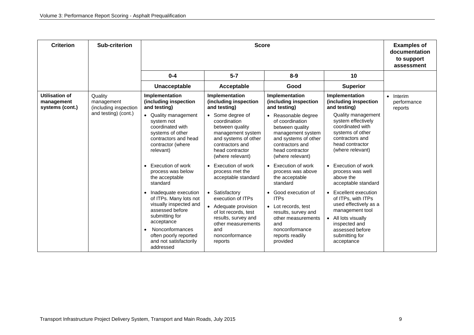| <b>Criterion</b>                                       | Sub-criterion                                  |                                                                                                                                                                                                                | <b>Examples of</b><br>documentation<br>to support<br>assessment                                                                                                      |                                                                                                                                                                             |                                                                                                                                                                                |                                                |
|--------------------------------------------------------|------------------------------------------------|----------------------------------------------------------------------------------------------------------------------------------------------------------------------------------------------------------------|----------------------------------------------------------------------------------------------------------------------------------------------------------------------|-----------------------------------------------------------------------------------------------------------------------------------------------------------------------------|--------------------------------------------------------------------------------------------------------------------------------------------------------------------------------|------------------------------------------------|
|                                                        |                                                | $0 - 4$                                                                                                                                                                                                        | $5 - 7$                                                                                                                                                              | $8 - 9$                                                                                                                                                                     | 10                                                                                                                                                                             |                                                |
|                                                        |                                                | Unacceptable                                                                                                                                                                                                   | Acceptable                                                                                                                                                           | Good                                                                                                                                                                        | <b>Superior</b>                                                                                                                                                                |                                                |
| <b>Utilisation of</b><br>management<br>systems (cont.) | Quality<br>management<br>(including inspection | Implementation<br>(including inspection<br>and testing)                                                                                                                                                        | Implementation<br>(including inspection<br>and testing)                                                                                                              | Implementation<br>(including inspection<br>and testing)                                                                                                                     | Implementation<br>(including inspection<br>and testing)                                                                                                                        | Interim<br>$\bullet$<br>performance<br>reports |
|                                                        | and testing) (cont.)                           | • Quality management<br>system not<br>coordinated with<br>systems of other<br>contractors and head<br>contractor (where<br>relevant)                                                                           | Some degree of<br>coordination<br>between quality<br>management system<br>and systems of other<br>contractors and<br>head contractor<br>(where relevant)             | Reasonable degree<br>$\bullet$<br>of coordination<br>between quality<br>management system<br>and systems of other<br>contractors and<br>head contractor<br>(where relevant) | Quality management<br>system effectively<br>coordinated with<br>systems of other<br>contractors and<br>head contractor<br>(where relevant)                                     |                                                |
|                                                        |                                                | <b>Execution of work</b><br>$\bullet$<br>process was below<br>the acceptable<br>standard                                                                                                                       | Execution of work<br>process met the<br>acceptable standard                                                                                                          | • Execution of work<br>process was above<br>the acceptable<br>standard                                                                                                      | <b>Execution of work</b><br>$\bullet$<br>process was well<br>above the<br>acceptable standard                                                                                  |                                                |
|                                                        |                                                | Inadequate execution<br>of ITPs. Many lots not<br>visually inspected and<br>assessed before<br>submitting for<br>acceptance<br>Nonconformances<br>often poorly reported<br>and not satisfactorily<br>addressed | • Satisfactory<br>execution of ITPs<br>• Adequate provision<br>of lot records, test<br>results, survey and<br>other measurements<br>and<br>nonconformance<br>reports | Good execution of<br>$\bullet$<br><b>ITPs</b><br>• Lot records, test<br>results, survey and<br>other measurements<br>and<br>nonconformance<br>reports readily<br>provided   | Excellent execution<br>of ITPs, with ITPs<br>used effectively as a<br>management tool<br>All lots visually<br>inspected and<br>assessed before<br>submitting for<br>acceptance |                                                |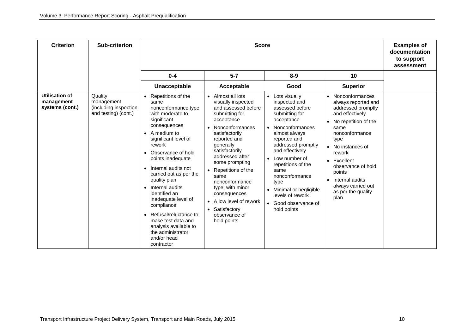| <b>Criterion</b>                                       | <b>Sub-criterion</b>                                                   |                                                                                                                                                                                                                                                                                                                                                                                                                                                                                                                              | <b>Score</b>                                                                                                                                                                                                                                                                                                                                                                         |                                                                                                                                                                                                                                                                                                                                                                |                                                                                                                                                                                                                                                                                                                                                             | <b>Examples of</b><br>documentation<br>to support<br>assessment |
|--------------------------------------------------------|------------------------------------------------------------------------|------------------------------------------------------------------------------------------------------------------------------------------------------------------------------------------------------------------------------------------------------------------------------------------------------------------------------------------------------------------------------------------------------------------------------------------------------------------------------------------------------------------------------|--------------------------------------------------------------------------------------------------------------------------------------------------------------------------------------------------------------------------------------------------------------------------------------------------------------------------------------------------------------------------------------|----------------------------------------------------------------------------------------------------------------------------------------------------------------------------------------------------------------------------------------------------------------------------------------------------------------------------------------------------------------|-------------------------------------------------------------------------------------------------------------------------------------------------------------------------------------------------------------------------------------------------------------------------------------------------------------------------------------------------------------|-----------------------------------------------------------------|
|                                                        |                                                                        | $0 - 4$                                                                                                                                                                                                                                                                                                                                                                                                                                                                                                                      | $5 - 7$                                                                                                                                                                                                                                                                                                                                                                              | $8 - 9$                                                                                                                                                                                                                                                                                                                                                        | 10                                                                                                                                                                                                                                                                                                                                                          |                                                                 |
|                                                        |                                                                        | Unacceptable                                                                                                                                                                                                                                                                                                                                                                                                                                                                                                                 | Acceptable                                                                                                                                                                                                                                                                                                                                                                           | Good                                                                                                                                                                                                                                                                                                                                                           | <b>Superior</b>                                                                                                                                                                                                                                                                                                                                             |                                                                 |
| <b>Utilisation of</b><br>management<br>systems (cont.) | Quality<br>management<br>(including inspection<br>and testing) (cont.) | Repetitions of the<br>$\bullet$<br>same<br>nonconformance type<br>with moderate to<br>significant<br>consequences<br>A medium to<br>$\bullet$<br>significant level of<br>rework<br>Observance of hold<br>$\bullet$<br>points inadequate<br>• Internal audits not<br>carried out as per the<br>quality plan<br>• Internal audits<br>identified an<br>inadequate level of<br>compliance<br>Refusal/reluctance to<br>$\bullet$<br>make test data and<br>analysis available to<br>the administrator<br>and/or head<br>contractor | Almost all lots<br>visually inspected<br>and assessed before<br>submitting for<br>acceptance<br>Nonconformances<br>satisfactorily<br>reported and<br>generally<br>satisfactorily<br>addressed after<br>some prompting<br>Repetitions of the<br>same<br>nonconformance<br>type, with minor<br>consequences<br>A low level of rework<br>• Satisfactory<br>observance of<br>hold points | Lots visually<br>$\bullet$<br>inspected and<br>assessed before<br>submitting for<br>acceptance<br>• Nonconformances<br>almost always<br>reported and<br>addressed promptly<br>and effectively<br>• Low number of<br>repetitions of the<br>same<br>nonconformance<br>type<br>• Minimal or negligible<br>levels of rework<br>• Good observance of<br>hold points | Nonconformances<br>$\bullet$<br>always reported and<br>addressed promptly<br>and effectively<br>No repetition of the<br>$\bullet$<br>same<br>nonconformance<br>type<br>No instances of<br>$\bullet$<br>rework<br>Excellent<br>$\bullet$<br>observance of hold<br>points<br>Internal audits<br>$\bullet$<br>always carried out<br>as per the quality<br>plan |                                                                 |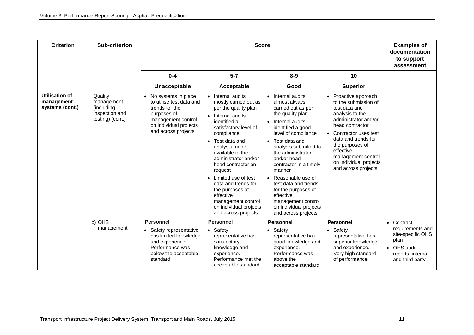| <b>Criterion</b>                                | <b>Sub-criterion</b>                                                      |                                                                                                                                                                      | <b>Score</b>                                                                                                                                                                                                                                                                                                                                                                                                         |                                                                                                                                                                                                                                                                                                                                                                                                                             |                                                                                                                                                                                                                                                                                     |                                                                                                                 |
|-------------------------------------------------|---------------------------------------------------------------------------|----------------------------------------------------------------------------------------------------------------------------------------------------------------------|----------------------------------------------------------------------------------------------------------------------------------------------------------------------------------------------------------------------------------------------------------------------------------------------------------------------------------------------------------------------------------------------------------------------|-----------------------------------------------------------------------------------------------------------------------------------------------------------------------------------------------------------------------------------------------------------------------------------------------------------------------------------------------------------------------------------------------------------------------------|-------------------------------------------------------------------------------------------------------------------------------------------------------------------------------------------------------------------------------------------------------------------------------------|-----------------------------------------------------------------------------------------------------------------|
|                                                 |                                                                           | $0 - 4$                                                                                                                                                              | $5 - 7$                                                                                                                                                                                                                                                                                                                                                                                                              | $8 - 9$                                                                                                                                                                                                                                                                                                                                                                                                                     | 10                                                                                                                                                                                                                                                                                  |                                                                                                                 |
|                                                 |                                                                           | <b>Unacceptable</b>                                                                                                                                                  | Acceptable                                                                                                                                                                                                                                                                                                                                                                                                           | Good                                                                                                                                                                                                                                                                                                                                                                                                                        | <b>Superior</b>                                                                                                                                                                                                                                                                     |                                                                                                                 |
| Utilisation of<br>management<br>systems (cont.) | Quality<br>management<br>(including<br>inspection and<br>testing) (cont.) | No systems in place<br>$\bullet$<br>to utilise test data and<br>trends for the<br>purposes of<br>management control<br>on individual projects<br>and across projects | • Internal audits<br>mostly carried out as<br>per the quality plan<br>• Internal audits<br>identified a<br>satisfactory level of<br>compliance<br>Test data and<br>analysis made<br>available to the<br>administrator and/or<br>head contractor on<br>request<br>• Limited use of test<br>data and trends for<br>the purposes of<br>effective<br>management control<br>on individual projects<br>and across projects | • Internal audits<br>almost always<br>carried out as per<br>the quality plan<br>• Internal audits<br>identified a good<br>level of compliance<br>• Test data and<br>analysis submitted to<br>the administrator<br>and/or head<br>contractor in a timely<br>manner<br>• Reasonable use of<br>test data and trends<br>for the purposes of<br>effective<br>management control<br>on individual projects<br>and across projects | • Proactive approach<br>to the submission of<br>test data and<br>analysis to the<br>administrator and/or<br>head contractor<br>• Contractor uses test<br>data and trends for<br>the purposes of<br>effective<br>management control<br>on individual projects<br>and across projects |                                                                                                                 |
|                                                 | b) OHS                                                                    | <b>Personnel</b>                                                                                                                                                     | <b>Personnel</b>                                                                                                                                                                                                                                                                                                                                                                                                     | <b>Personnel</b>                                                                                                                                                                                                                                                                                                                                                                                                            | <b>Personnel</b>                                                                                                                                                                                                                                                                    | • Contract                                                                                                      |
|                                                 | management                                                                | Safety representative<br>has limited knowledge<br>and experience.<br>Performance was<br>below the acceptable<br>standard                                             | • Safety<br>representative has<br>satisfactory<br>knowledge and<br>experience.<br>Performance met the<br>acceptable standard                                                                                                                                                                                                                                                                                         | • Safety<br>representative has<br>good knowledge and<br>experience.<br>Performance was<br>above the<br>acceptable standard                                                                                                                                                                                                                                                                                                  | • Safety<br>representative has<br>superior knowledge<br>and experience.<br>Very high standard<br>of performance                                                                                                                                                                     | requirements and<br>site-specific OHS<br>plan<br>OHS audit<br>$\bullet$<br>reports, internal<br>and third party |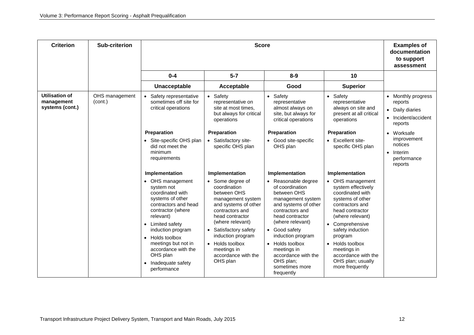| <b>Criterion</b>                                       | <b>Sub-criterion</b>      |                                                                                                                                                                                                                                                                                            | <b>Examples of</b><br>documentation<br>to support<br>assessment                                                                                                                                                                                                           |                                                                                                                                                                                                                                                                                                          |                                                                                                                                                                                                                                                                                             |                                                                                                        |
|--------------------------------------------------------|---------------------------|--------------------------------------------------------------------------------------------------------------------------------------------------------------------------------------------------------------------------------------------------------------------------------------------|---------------------------------------------------------------------------------------------------------------------------------------------------------------------------------------------------------------------------------------------------------------------------|----------------------------------------------------------------------------------------------------------------------------------------------------------------------------------------------------------------------------------------------------------------------------------------------------------|---------------------------------------------------------------------------------------------------------------------------------------------------------------------------------------------------------------------------------------------------------------------------------------------|--------------------------------------------------------------------------------------------------------|
|                                                        |                           | $0 - 4$                                                                                                                                                                                                                                                                                    | $5 - 7$                                                                                                                                                                                                                                                                   | $8-9$                                                                                                                                                                                                                                                                                                    | 10                                                                                                                                                                                                                                                                                          |                                                                                                        |
|                                                        |                           | Unacceptable                                                                                                                                                                                                                                                                               | Acceptable                                                                                                                                                                                                                                                                | Good                                                                                                                                                                                                                                                                                                     | <b>Superior</b>                                                                                                                                                                                                                                                                             |                                                                                                        |
| <b>Utilisation of</b><br>management<br>systems (cont.) | OHS management<br>(cont.) | Safety representative<br>$\bullet$<br>sometimes off site for<br>critical operations                                                                                                                                                                                                        | • Safety<br>representative on<br>site at most times.<br>but always for critical<br>operations                                                                                                                                                                             | • Safety<br>representative<br>almost always on<br>site, but always for<br>critical operations                                                                                                                                                                                                            | • Safety<br>representative<br>always on site and<br>present at all critical<br>operations                                                                                                                                                                                                   | Monthly progress<br>$\bullet$<br>reports<br>Daily diaries<br>$\bullet$<br>Incident/accident<br>reports |
|                                                        |                           | Preparation                                                                                                                                                                                                                                                                                | <b>Preparation</b>                                                                                                                                                                                                                                                        | Preparation                                                                                                                                                                                                                                                                                              | <b>Preparation</b>                                                                                                                                                                                                                                                                          | Worksafe<br>$\bullet$                                                                                  |
|                                                        |                           | • Site-specific OHS plan<br>did not meet the<br>minimum<br>requirements                                                                                                                                                                                                                    | • Satisfactory site-<br>specific OHS plan                                                                                                                                                                                                                                 | • Good site-specific<br>OHS plan                                                                                                                                                                                                                                                                         | • Excellent site-<br>specific OHS plan                                                                                                                                                                                                                                                      | improvement<br>notices<br>Interim<br>$\bullet$<br>performance<br>reports                               |
|                                                        |                           | Implementation                                                                                                                                                                                                                                                                             | Implementation                                                                                                                                                                                                                                                            | Implementation                                                                                                                                                                                                                                                                                           | Implementation                                                                                                                                                                                                                                                                              |                                                                                                        |
|                                                        |                           | • OHS management<br>system not<br>coordinated with<br>systems of other<br>contractors and head<br>contractor (where<br>relevant)<br>• Limited safety<br>induction program<br>• Holds toolbox<br>meetings but not in<br>accordance with the<br>OHS plan<br>Inadequate safety<br>performance | • Some degree of<br>coordination<br>between OHS<br>management system<br>and systems of other<br>contractors and<br>head contractor<br>(where relevant)<br>• Satisfactory safety<br>induction program<br>• Holds toolbox<br>meetings in<br>accordance with the<br>OHS plan | • Reasonable degree<br>of coordination<br>between OHS<br>management system<br>and systems of other<br>contractors and<br>head contractor<br>(where relevant)<br>• Good safety<br>induction program<br>• Holds toolbox<br>meetings in<br>accordance with the<br>OHS plan;<br>sometimes more<br>frequently | • OHS management<br>system effectively<br>coordinated with<br>systems of other<br>contractors and<br>head contractor<br>(where relevant)<br>• Comprehensive<br>safety induction<br>program<br>• Holds toolbox<br>meetings in<br>accordance with the<br>OHS plan; usually<br>more frequently |                                                                                                        |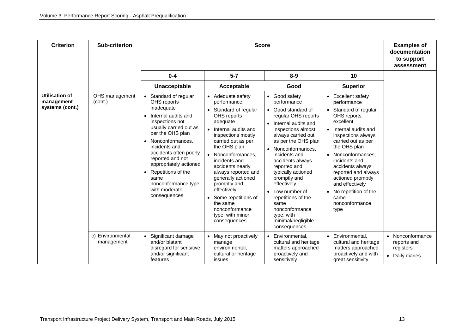| <b>Criterion</b>                                | <b>Sub-criterion</b>           |                                                                                                                                                                                                                                                                                                                                                                       | <b>Examples of</b><br>documentation<br>to support<br>assessment                                                                                                                                                                                                                                                                                                                                           |                                                                                                                                                                                                                                                                                                                                                                                                                              |                                                                                                                                                                                                                                                                                                                                                                                       |                                                                            |
|-------------------------------------------------|--------------------------------|-----------------------------------------------------------------------------------------------------------------------------------------------------------------------------------------------------------------------------------------------------------------------------------------------------------------------------------------------------------------------|-----------------------------------------------------------------------------------------------------------------------------------------------------------------------------------------------------------------------------------------------------------------------------------------------------------------------------------------------------------------------------------------------------------|------------------------------------------------------------------------------------------------------------------------------------------------------------------------------------------------------------------------------------------------------------------------------------------------------------------------------------------------------------------------------------------------------------------------------|---------------------------------------------------------------------------------------------------------------------------------------------------------------------------------------------------------------------------------------------------------------------------------------------------------------------------------------------------------------------------------------|----------------------------------------------------------------------------|
|                                                 |                                | $0 - 4$                                                                                                                                                                                                                                                                                                                                                               | $5 - 7$                                                                                                                                                                                                                                                                                                                                                                                                   | $8 - 9$                                                                                                                                                                                                                                                                                                                                                                                                                      | 10                                                                                                                                                                                                                                                                                                                                                                                    |                                                                            |
|                                                 |                                | Unacceptable                                                                                                                                                                                                                                                                                                                                                          | Acceptable                                                                                                                                                                                                                                                                                                                                                                                                | Good                                                                                                                                                                                                                                                                                                                                                                                                                         | <b>Superior</b>                                                                                                                                                                                                                                                                                                                                                                       |                                                                            |
| Utilisation of<br>management<br>systems (cont.) | OHS management<br>(cont.)      | Standard of regular<br>OHS reports<br>inadequate<br>Internal audits and<br>inspections not<br>usually carried out as<br>per the OHS plan<br>Nonconformances,<br>$\bullet$<br>incidents and<br>accidents often poorly<br>reported and not<br>appropriately actioned<br>Repetitions of the<br>$\bullet$<br>same<br>nonconformance type<br>with moderate<br>consequences | • Adequate safety<br>performance<br>• Standard of regular<br>OHS reports<br>adequate<br>• Internal audits and<br>inspections mostly<br>carried out as per<br>the OHS plan<br>• Nonconformances.<br>incidents and<br>accidents nearly<br>always reported and<br>generally actioned<br>promptly and<br>effectively<br>Some repetitions of<br>the same<br>nonconformance<br>type, with minor<br>consequences | • Good safety<br>performance<br>• Good standard of<br>regular OHS reports<br>• Internal audits and<br>inspections almost<br>always carried out<br>as per the OHS plan<br>• Nonconformances.<br>incidents and<br>accidents always<br>reported and<br>typically actioned<br>promptly and<br>effectively<br>• Low number of<br>repetitions of the<br>same<br>nonconformance<br>type, with<br>minimal/negligible<br>consequences | • Excellent safety<br>performance<br>Standard of regular<br>OHS reports<br>excellent<br>• Internal audits and<br>inspections always<br>carried out as per<br>the OHS plan<br>Nonconformances.<br>$\bullet$<br>incidents and<br>accidents always<br>reported and always<br>actioned promptly<br>and effectively<br>No repetition of the<br>$\bullet$<br>same<br>nonconformance<br>type |                                                                            |
|                                                 | c) Environmental<br>management | Significant damage<br>and/or blatant<br>disregard for sensitive<br>and/or significant<br>features                                                                                                                                                                                                                                                                     | • May not proactively<br>manage<br>environmental,<br>cultural or heritage<br>issues                                                                                                                                                                                                                                                                                                                       | • Environmental,<br>cultural and heritage<br>matters approached<br>proactively and<br>sensitively                                                                                                                                                                                                                                                                                                                            | • Environmental,<br>cultural and heritage<br>matters approached<br>proactively and with<br>great sensitivity                                                                                                                                                                                                                                                                          | • Nonconformance<br>reports and<br>registers<br>Daily diaries<br>$\bullet$ |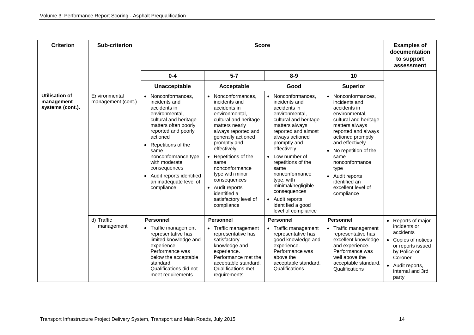| <b>Criterion</b>                                        | <b>Sub-criterion</b>                |                                                                                                                                                                                                                                                                                                                                    | <b>Examples of</b><br>documentation<br>to support<br>assessment                                                                                                                                                                                                                                                                                             |                                                                                                                                                                                                                                                                                                                                                                                          |                                                                                                                                                                                                                                                                                                                     |                                                                                                                                                                                             |
|---------------------------------------------------------|-------------------------------------|------------------------------------------------------------------------------------------------------------------------------------------------------------------------------------------------------------------------------------------------------------------------------------------------------------------------------------|-------------------------------------------------------------------------------------------------------------------------------------------------------------------------------------------------------------------------------------------------------------------------------------------------------------------------------------------------------------|------------------------------------------------------------------------------------------------------------------------------------------------------------------------------------------------------------------------------------------------------------------------------------------------------------------------------------------------------------------------------------------|---------------------------------------------------------------------------------------------------------------------------------------------------------------------------------------------------------------------------------------------------------------------------------------------------------------------|---------------------------------------------------------------------------------------------------------------------------------------------------------------------------------------------|
|                                                         |                                     | $0 - 4$                                                                                                                                                                                                                                                                                                                            | $5 - 7$                                                                                                                                                                                                                                                                                                                                                     | $8 - 9$                                                                                                                                                                                                                                                                                                                                                                                  | 10                                                                                                                                                                                                                                                                                                                  |                                                                                                                                                                                             |
|                                                         |                                     | Unacceptable                                                                                                                                                                                                                                                                                                                       | Acceptable                                                                                                                                                                                                                                                                                                                                                  | Good                                                                                                                                                                                                                                                                                                                                                                                     | <b>Superior</b>                                                                                                                                                                                                                                                                                                     |                                                                                                                                                                                             |
| <b>Utilisation of</b><br>management<br>systems (cont.). | Environmental<br>management (cont.) | • Nonconformances,<br>incidents and<br>accidents in<br>environmental,<br>cultural and heritage<br>matters often poorly<br>reported and poorly<br>actioned<br>Repetitions of the<br>$\bullet$<br>same<br>nonconformance type<br>with moderate<br>consequences<br>• Audit reports identified<br>an inadequate level of<br>compliance | • Nonconformances.<br>incidents and<br>accidents in<br>environmental,<br>cultural and heritage<br>matters nearly<br>always reported and<br>generally actioned<br>promptly and<br>effectively<br>• Repetitions of the<br>same<br>nonconformance<br>type with minor<br>consequences<br>• Audit reports<br>identified a<br>satisfactory level of<br>compliance | Nonconformances.<br>$\bullet$<br>incidents and<br>accidents in<br>environmental,<br>cultural and heritage<br>matters always<br>reported and almost<br>always actioned<br>promptly and<br>effectively<br>Low number of<br>repetitions of the<br>same<br>nonconformance<br>type, with<br>minimal/negligible<br>consequences<br>• Audit reports<br>identified a good<br>level of compliance | • Nonconformances.<br>incidents and<br>accidents in<br>environmental,<br>cultural and heritage<br>matters always<br>reported and always<br>actioned promptly<br>and effectively<br>• No repetition of the<br>same<br>nonconformance<br>type<br>• Audit reports<br>identified an<br>excellent level of<br>compliance |                                                                                                                                                                                             |
|                                                         | d) Traffic<br>management            | <b>Personnel</b><br>• Traffic management<br>representative has<br>limited knowledge and<br>experience.<br>Performance was<br>below the acceptable<br>standard.<br>Qualifications did not<br>meet requirements                                                                                                                      | <b>Personnel</b><br>• Traffic management<br>representative has<br>satisfactory<br>knowledge and<br>experience.<br>Performance met the<br>acceptable standard.<br>Qualifications met<br>requirements                                                                                                                                                         | <b>Personnel</b><br>• Traffic management<br>representative has<br>good knowledge and<br>experience.<br>Performance was<br>above the<br>acceptable standard.<br>Qualifications                                                                                                                                                                                                            | <b>Personnel</b><br>• Traffic management<br>representative has<br>excellent knowledge<br>and experience.<br>Performance was<br>well above the<br>acceptable standard.<br>Qualifications                                                                                                                             | Reports of major<br>$\bullet$<br>incidents or<br>accidents<br>Copies of notices<br>or reports issued<br>by Police or<br>Coroner<br>Audit reports,<br>$\bullet$<br>internal and 3rd<br>party |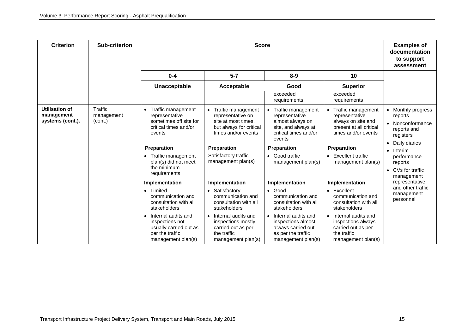| <b>Criterion</b>                                 | Sub-criterion                                                                                                                                                                                                                                                                                                                                                            |                                                                                                                        | <b>Score</b>                                                                                           |                                                                                                                          |                                                                                                        |                                                                      |  |  |
|--------------------------------------------------|--------------------------------------------------------------------------------------------------------------------------------------------------------------------------------------------------------------------------------------------------------------------------------------------------------------------------------------------------------------------------|------------------------------------------------------------------------------------------------------------------------|--------------------------------------------------------------------------------------------------------|--------------------------------------------------------------------------------------------------------------------------|--------------------------------------------------------------------------------------------------------|----------------------------------------------------------------------|--|--|
|                                                  |                                                                                                                                                                                                                                                                                                                                                                          | $0 - 4$                                                                                                                | $5 - 7$                                                                                                | $8 - 9$                                                                                                                  | 10                                                                                                     |                                                                      |  |  |
|                                                  |                                                                                                                                                                                                                                                                                                                                                                          | Unacceptable                                                                                                           | Acceptable                                                                                             | Good                                                                                                                     | <b>Superior</b>                                                                                        |                                                                      |  |  |
|                                                  |                                                                                                                                                                                                                                                                                                                                                                          |                                                                                                                        |                                                                                                        | exceeded<br>requirements                                                                                                 | exceeded<br>requirements                                                                               |                                                                      |  |  |
| Utilisation of<br>management<br>systems (cont.). | Traffic<br>Traffic management<br>• Traffic management<br>$\bullet$<br>management<br>representative<br>representative on<br>representative<br>(cont.)<br>sometimes off site for<br>site at most times.<br>almost always on<br>critical times and/or<br>but always for critical<br>site, and always at<br>times and/or events<br>critical times and/or<br>events<br>events | Traffic management<br>representative<br>always on site and                                                             | • Traffic management<br>present at all critical<br>times and/or events                                 | Monthly progress<br>reports<br>Nonconformance<br>reports and<br>registers                                                |                                                                                                        |                                                                      |  |  |
|                                                  |                                                                                                                                                                                                                                                                                                                                                                          | Preparation                                                                                                            | <b>Preparation</b>                                                                                     | <b>Preparation</b>                                                                                                       | Preparation                                                                                            | Daily diaries<br>Interim                                             |  |  |
|                                                  |                                                                                                                                                                                                                                                                                                                                                                          | Traffic management<br>$\bullet$<br>plan(s) did not meet<br>the minimum<br>requirements                                 | Satisfactory traffic<br>management plan(s)                                                             | • Good traffic<br>• Excellent traffic<br>management plan(s)                                                              | management plan(s)                                                                                     | performance<br>reports<br>CVs for traffic<br>$\bullet$<br>management |  |  |
|                                                  |                                                                                                                                                                                                                                                                                                                                                                          | Implementation                                                                                                         | Implementation                                                                                         | Implementation                                                                                                           | Implementation                                                                                         | representative                                                       |  |  |
|                                                  |                                                                                                                                                                                                                                                                                                                                                                          | • Limited<br>communication and<br>consultation with all<br>stakeholders                                                | • Satisfactory<br>communication and<br>consultation with all<br>stakeholders                           | $\bullet$ Good<br>communication and<br>consultation with all<br>stakeholders                                             | $\bullet$ Excellent<br>communication and<br>consultation with all<br>stakeholders                      | and other traffic<br>management<br>personnel                         |  |  |
|                                                  |                                                                                                                                                                                                                                                                                                                                                                          | Internal audits and<br>$\bullet$<br>inspections not<br>usually carried out as<br>per the traffic<br>management plan(s) | • Internal audits and<br>inspections mostly<br>carried out as per<br>the traffic<br>management plan(s) | Internal audits and<br>$\bullet$<br>inspections almost<br>always carried out<br>as per the traffic<br>management plan(s) | • Internal audits and<br>inspections always<br>carried out as per<br>the traffic<br>management plan(s) |                                                                      |  |  |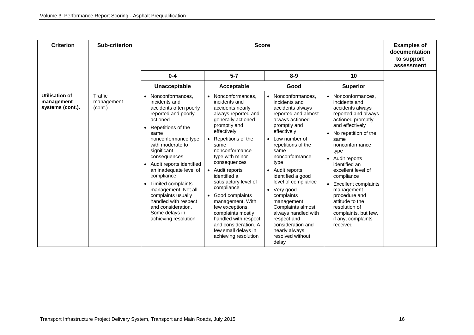| <b>Criterion</b>                                 | <b>Sub-criterion</b>             |                                                                                                                                                                                                                                                                                                                                                                                                                                                      | <b>Examples of</b><br>documentation<br>to support<br>assessment                                                                                                                                                                                                                                                                                                                                                                                                                |                                                                                                                                                                                                                                                                                                                                                                                                                                                      |                                                                                                                                                                                                                                                                                                                                                                                                                   |  |
|--------------------------------------------------|----------------------------------|------------------------------------------------------------------------------------------------------------------------------------------------------------------------------------------------------------------------------------------------------------------------------------------------------------------------------------------------------------------------------------------------------------------------------------------------------|--------------------------------------------------------------------------------------------------------------------------------------------------------------------------------------------------------------------------------------------------------------------------------------------------------------------------------------------------------------------------------------------------------------------------------------------------------------------------------|------------------------------------------------------------------------------------------------------------------------------------------------------------------------------------------------------------------------------------------------------------------------------------------------------------------------------------------------------------------------------------------------------------------------------------------------------|-------------------------------------------------------------------------------------------------------------------------------------------------------------------------------------------------------------------------------------------------------------------------------------------------------------------------------------------------------------------------------------------------------------------|--|
|                                                  |                                  | $0 - 4$                                                                                                                                                                                                                                                                                                                                                                                                                                              | $5 - 7$                                                                                                                                                                                                                                                                                                                                                                                                                                                                        | $8 - 9$                                                                                                                                                                                                                                                                                                                                                                                                                                              | 10                                                                                                                                                                                                                                                                                                                                                                                                                |  |
|                                                  |                                  | Unacceptable                                                                                                                                                                                                                                                                                                                                                                                                                                         | Acceptable                                                                                                                                                                                                                                                                                                                                                                                                                                                                     | Good                                                                                                                                                                                                                                                                                                                                                                                                                                                 | <b>Superior</b>                                                                                                                                                                                                                                                                                                                                                                                                   |  |
| Utilisation of<br>management<br>systems (cont.). | Traffic<br>management<br>(cont.) | Nonconformances.<br>incidents and<br>accidents often poorly<br>reported and poorly<br>actioned<br>Repetitions of the<br>same<br>nonconformance type<br>with moderate to<br>significant<br>consequences<br>• Audit reports identified<br>an inadequate level of<br>compliance<br>Limited complaints<br>$\bullet$<br>management. Not all<br>complaints usually<br>handled with respect<br>and consideration.<br>Some delays in<br>achieving resolution | Nonconformances,<br>incidents and<br>accidents nearly<br>always reported and<br>generally actioned<br>promptly and<br>effectively<br>Repetitions of the<br>same<br>nonconformance<br>type with minor<br>consequences<br>• Audit reports<br>identified a<br>satisfactory level of<br>compliance<br>• Good complaints<br>management. With<br>few exceptions.<br>complaints mostly<br>handled with respect<br>and consideration. A<br>few small delays in<br>achieving resolution | • Nonconformances.<br>incidents and<br>accidents always<br>reported and almost<br>always actioned<br>promptly and<br>effectively<br>• Low number of<br>repetitions of the<br>same<br>nonconformance<br>type<br>• Audit reports<br>identified a good<br>level of compliance<br>• Very good<br>complaints<br>management.<br>Complaints almost<br>always handled with<br>respect and<br>consideration and<br>nearly always<br>resolved without<br>delay | • Nonconformances,<br>incidents and<br>accidents always<br>reported and always<br>actioned promptly<br>and effectively<br>• No repetition of the<br>same<br>nonconformance<br>type<br>• Audit reports<br>identified an<br>excellent level of<br>compliance<br>• Excellent complaints<br>management<br>procedure and<br>attitude to the<br>resolution of<br>complaints, but few,<br>if any, complaints<br>received |  |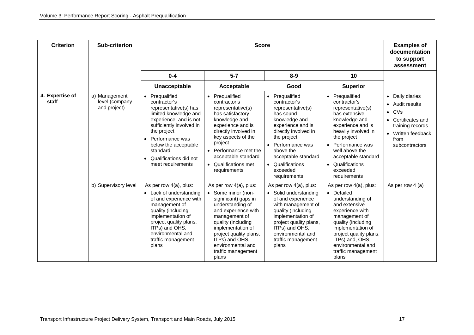| <b>Criterion</b>         | Sub-criterion                                   |                                                                                                                                                                                                                                                                                       | <b>Examples of</b><br>documentation<br>to support<br>assessment                                                                                                                                                                                                             |                                                                                                                                                                                                                                                                   |                                                                                                                                                                                                                                                                |                                                                                                                                                                                   |
|--------------------------|-------------------------------------------------|---------------------------------------------------------------------------------------------------------------------------------------------------------------------------------------------------------------------------------------------------------------------------------------|-----------------------------------------------------------------------------------------------------------------------------------------------------------------------------------------------------------------------------------------------------------------------------|-------------------------------------------------------------------------------------------------------------------------------------------------------------------------------------------------------------------------------------------------------------------|----------------------------------------------------------------------------------------------------------------------------------------------------------------------------------------------------------------------------------------------------------------|-----------------------------------------------------------------------------------------------------------------------------------------------------------------------------------|
|                          |                                                 | $0 - 4$                                                                                                                                                                                                                                                                               | $5 - 7$                                                                                                                                                                                                                                                                     | $8-9$                                                                                                                                                                                                                                                             | 10                                                                                                                                                                                                                                                             |                                                                                                                                                                                   |
|                          |                                                 | Unacceptable                                                                                                                                                                                                                                                                          | Acceptable                                                                                                                                                                                                                                                                  | Good                                                                                                                                                                                                                                                              | <b>Superior</b>                                                                                                                                                                                                                                                |                                                                                                                                                                                   |
| 4. Expertise of<br>staff | a) Management<br>level (company<br>and project) | • Prequalified<br>contractor's<br>representative(s) has<br>limited knowledge and<br>experience, and is not<br>sufficiently involved in<br>the project<br>Performance was<br>$\bullet$<br>below the acceptable<br>standard<br>Qualifications did not<br>$\bullet$<br>meet requirements | • Prequalified<br>contractor's<br>representative(s)<br>has satisfactory<br>knowledge and<br>experience and is<br>directly involved in<br>key aspects of the<br>project<br>• Performance met the<br>acceptable standard<br>• Qualifications met<br>requirements              | • Prequalified<br>contractor's<br>representative(s)<br>has sound<br>knowledge and<br>experience and is<br>directly involved in<br>the project<br>Performance was<br>$\bullet$<br>above the<br>acceptable standard<br>• Qualifications<br>exceeded<br>requirements | • Prequalified<br>contractor's<br>representative(s)<br>has extensive<br>knowledge and<br>experience and is<br>heavily involved in<br>the project<br>• Performance was<br>well above the<br>acceptable standard<br>• Qualifications<br>exceeded<br>requirements | • Daily diaries<br>Audit results<br>$\bullet$<br>CVs<br>$\bullet$<br>Certificates and<br>$\bullet$<br>training records<br>Written feedback<br>$\bullet$<br>from<br>subcontractors |
|                          | b) Supervisory level                            | As per row 4(a), plus:<br>• Lack of understanding<br>of and experience with<br>management of<br>quality (including<br>implementation of<br>project quality plans,<br>ITPs) and OHS,<br>environmental and<br>traffic management<br>plans                                               | As per row 4(a), plus:<br>• Some minor (non-<br>significant) gaps in<br>understanding of<br>and experience with<br>management of<br>quality (including<br>implementation of<br>project quality plans,<br>ITPs) and OHS,<br>environmental and<br>traffic management<br>plans | As per row 4(a), plus:<br>• Solid understanding<br>of and experience<br>with management of<br>quality (including<br>implementation of<br>project quality plans,<br>ITPs) and OHS,<br>environmental and<br>traffic management<br>plans                             | As per row 4(a), plus:<br>• Detailed<br>understanding of<br>and extensive<br>experience with<br>management of<br>quality (including<br>implementation of<br>project quality plans,<br>ITPs) and, OHS,<br>environmental and<br>traffic management<br>plans      | As per row $4(a)$                                                                                                                                                                 |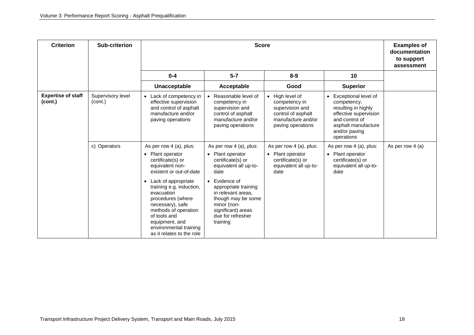| <b>Criterion</b>                     | Sub-criterion                |                                                                                                                                                                                                                                                                                                                                             | <b>Score</b>                                                                                                                                                                                                                                                 |                                                                                                                      |                                                                                                                                                                          |                  |  |
|--------------------------------------|------------------------------|---------------------------------------------------------------------------------------------------------------------------------------------------------------------------------------------------------------------------------------------------------------------------------------------------------------------------------------------|--------------------------------------------------------------------------------------------------------------------------------------------------------------------------------------------------------------------------------------------------------------|----------------------------------------------------------------------------------------------------------------------|--------------------------------------------------------------------------------------------------------------------------------------------------------------------------|------------------|--|
|                                      |                              | $0 - 4$                                                                                                                                                                                                                                                                                                                                     | $5 - 7$                                                                                                                                                                                                                                                      | $8-9$                                                                                                                | 10                                                                                                                                                                       |                  |  |
|                                      |                              | Unacceptable                                                                                                                                                                                                                                                                                                                                | Acceptable                                                                                                                                                                                                                                                   | Good                                                                                                                 | <b>Superior</b>                                                                                                                                                          |                  |  |
| <b>Expertise of staff</b><br>(cont.) | Supervisory level<br>(cont.) | • Lack of competency in<br>effective supervision<br>and control of asphalt<br>manufacture and/or<br>paving operations                                                                                                                                                                                                                       | • Reasonable level of<br>competency in<br>supervision and<br>control of asphalt<br>manufacture and/or<br>paving operations                                                                                                                                   | • High level of<br>competency in<br>supervision and<br>control of asphalt<br>manufacture and/or<br>paving operations | Exceptional level of<br>$\bullet$<br>competency,<br>resulting in highly<br>effective supervision<br>and control of<br>asphalt manufacture<br>and/or paving<br>operations |                  |  |
|                                      | c) Operators                 | As per row 4 (a), plus:<br>• Plant operator<br>certificate(s) or<br>equivalent non-<br>existent or out-of-date<br>• Lack of appropriate<br>training e.g. induction,<br>evacuation<br>procedures (where<br>necessary), safe<br>methods of operation<br>of tools and<br>equipment, and<br>environmental training<br>as it relates to the role | As per row 4 (a), plus:<br>• Plant operator<br>certificate(s) or<br>equivalent all up-to-<br>date<br>• Evidence of<br>appropriate training<br>in relevant areas,<br>though may be some<br>minor (non-<br>significant) areas<br>due for refresher<br>training | As per row 4 (a), plus:<br>Plant operator<br>$\bullet$<br>certificate(s) or<br>equivalent all up-to-<br>date         | As per row 4 (a), plus:<br>• Plant operator<br>certificate(s) or<br>equivalent all up-to-<br>date                                                                        | As per row 4 (a) |  |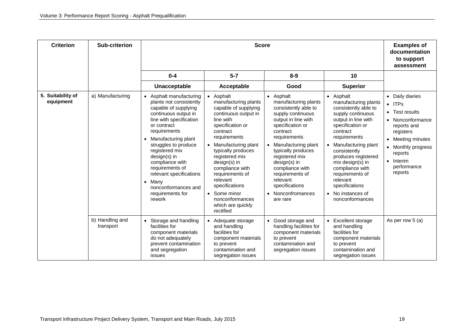| <b>Criterion</b>               | Sub-criterion                |                                                                                                                                                                                                                                                                                                                                                                                          | <b>Examples of</b><br>documentation<br>to support<br>assessment                                                                                                                                                                                                                                                                                                          |                                                                                                                                                                                                                                                                                                                                                        |                                                                                                                                                                                                                                                                                                                                                       |                                                                                                                                                                                                                          |
|--------------------------------|------------------------------|------------------------------------------------------------------------------------------------------------------------------------------------------------------------------------------------------------------------------------------------------------------------------------------------------------------------------------------------------------------------------------------|--------------------------------------------------------------------------------------------------------------------------------------------------------------------------------------------------------------------------------------------------------------------------------------------------------------------------------------------------------------------------|--------------------------------------------------------------------------------------------------------------------------------------------------------------------------------------------------------------------------------------------------------------------------------------------------------------------------------------------------------|-------------------------------------------------------------------------------------------------------------------------------------------------------------------------------------------------------------------------------------------------------------------------------------------------------------------------------------------------------|--------------------------------------------------------------------------------------------------------------------------------------------------------------------------------------------------------------------------|
|                                |                              | $0 - 4$                                                                                                                                                                                                                                                                                                                                                                                  | $5 - 7$                                                                                                                                                                                                                                                                                                                                                                  | $8 - 9$                                                                                                                                                                                                                                                                                                                                                | 10                                                                                                                                                                                                                                                                                                                                                    |                                                                                                                                                                                                                          |
|                                |                              | Unacceptable                                                                                                                                                                                                                                                                                                                                                                             | Acceptable                                                                                                                                                                                                                                                                                                                                                               | Good                                                                                                                                                                                                                                                                                                                                                   | <b>Superior</b>                                                                                                                                                                                                                                                                                                                                       |                                                                                                                                                                                                                          |
| 5. Suitability of<br>equipment | a) Manufacturing             | Asphalt manufacturing<br>plants not consistently<br>capable of supplying<br>continuous output in<br>line with specification<br>or contract<br>requirements<br>Manufacturing plant<br>struggles to produce<br>registered mix<br>$design(s)$ in<br>compliance with<br>requirements of<br>relevant specifications<br>Many<br>$\bullet$<br>nonconformances and<br>requirements for<br>rework | • Asphalt<br>manufacturing plants<br>capable of supplying<br>continuous output in<br>line with<br>specification or<br>contract<br>requirements<br>• Manufacturing plant<br>typically produces<br>registered mix<br>design(s) in<br>compliance with<br>requirements of<br>relevant<br>specifications<br>• Some minor<br>nonconformances<br>which are quickly<br>rectified | • Asphalt<br>manufacturing plants<br>consistently able to<br>supply continuous<br>output in line with<br>specification or<br>contract<br>requirements<br>Manufacturing plant<br>$\bullet$<br>typically produces<br>registered mix<br>$design(s)$ in<br>compliance with<br>requirements of<br>relevant<br>specifications<br>Nonconfromances<br>are rare | • Asphalt<br>manufacturing plants<br>consistently able to<br>supply continuous<br>output in line with<br>specification or<br>contract<br>requirements<br>• Manufacturing plant<br>consistently<br>produces registered<br>mix design(s) in<br>compliance with<br>requirements of<br>relevant<br>specifications<br>• No instances of<br>nonconformances | Daily diaries<br>$\bullet$<br><b>ITPs</b><br>$\bullet$<br>Test results<br>$\bullet$<br>Nonconformance<br>reports and<br>registers<br>Meeting minutes<br>Monthly progress<br>reports<br>Interim<br>performance<br>reports |
|                                | b) Handling and<br>transport | Storage and handling<br>facilities for<br>component materials<br>do not adequately<br>prevent contamination<br>and segregation<br><i>issues</i>                                                                                                                                                                                                                                          | • Adequate storage<br>and handling<br>facilities for<br>component materials<br>to prevent<br>contamination and<br>segregation issues                                                                                                                                                                                                                                     | • Good storage and<br>handling facilities for<br>component materials<br>to prevent<br>contamination and<br>segregation issues                                                                                                                                                                                                                          | • Excellent storage<br>and handling<br>facilities for<br>component materials<br>to prevent<br>contamination and<br>segregation issues                                                                                                                                                                                                                 | As per row 5 (a)                                                                                                                                                                                                         |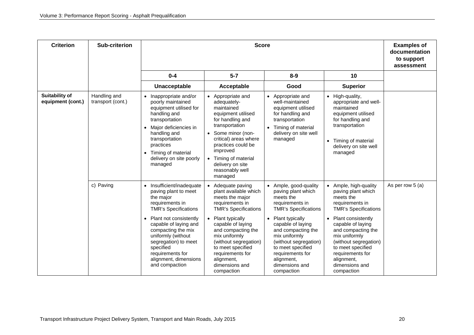| <b>Criterion</b>                           | <b>Sub-criterion</b>              |                                                                                                                                                                                                                                                                                                                                             | <b>Examples of</b><br>documentation<br>to support<br>assessment                                                                                                                                                                                                                                                |                                                                                                                                                                                                                                                                                                             |                                                                                                                                                                                                                                                                                                                           |                   |
|--------------------------------------------|-----------------------------------|---------------------------------------------------------------------------------------------------------------------------------------------------------------------------------------------------------------------------------------------------------------------------------------------------------------------------------------------|----------------------------------------------------------------------------------------------------------------------------------------------------------------------------------------------------------------------------------------------------------------------------------------------------------------|-------------------------------------------------------------------------------------------------------------------------------------------------------------------------------------------------------------------------------------------------------------------------------------------------------------|---------------------------------------------------------------------------------------------------------------------------------------------------------------------------------------------------------------------------------------------------------------------------------------------------------------------------|-------------------|
|                                            |                                   | $0 - 4$                                                                                                                                                                                                                                                                                                                                     | $5 - 7$                                                                                                                                                                                                                                                                                                        | $8 - 9$                                                                                                                                                                                                                                                                                                     | 10                                                                                                                                                                                                                                                                                                                        |                   |
|                                            |                                   | Unacceptable                                                                                                                                                                                                                                                                                                                                | Acceptable                                                                                                                                                                                                                                                                                                     | Good                                                                                                                                                                                                                                                                                                        | <b>Superior</b>                                                                                                                                                                                                                                                                                                           |                   |
| <b>Suitability of</b><br>equipment (cont.) | Handling and<br>transport (cont.) | • Inappropriate and/or<br>poorly maintained<br>equipment utilised for<br>handling and<br>transportation<br>Major deficiencies in<br>handling and<br>transportation<br>practices<br>Timing of material<br>$\bullet$<br>delivery on site poorly<br>managed                                                                                    | Appropriate and<br>adequately-<br>maintained<br>equipment utilised<br>for handling and<br>transportation<br>Some minor (non-<br>critical) areas where<br>practices could be<br>improved<br>Timing of material<br>delivery on site<br>reasonably well<br>managed                                                | • Appropriate and<br>well-maintained<br>equipment utilised<br>for handling and<br>transportation<br>Timing of material<br>$\bullet$<br>delivery on site well<br>managed                                                                                                                                     | • High-quality,<br>appropriate and well-<br>maintained<br>equipment utilised<br>for handling and<br>transportation<br>• Timing of material<br>delivery on site well<br>managed                                                                                                                                            |                   |
|                                            | c) Paving                         | Insufficient/inadequate<br>$\bullet$<br>paving plant to meet<br>the major<br>requirements in<br><b>TMR's Specifications</b><br>Plant not consistently<br>$\bullet$<br>capable of laying and<br>compacting the mix<br>uniformly (without<br>segregation) to meet<br>specified<br>requirements for<br>alignment, dimensions<br>and compaction | Adequate paving<br>plant available which<br>meets the major<br>requirements in<br><b>TMR's Specifications</b><br>• Plant typically<br>capable of laying<br>and compacting the<br>mix uniformly<br>(without segregation)<br>to meet specified<br>requirements for<br>alignment,<br>dimensions and<br>compaction | • Ample, good-quality<br>paving plant which<br>meets the<br>requirements in<br><b>TMR's Specifications</b><br>• Plant typically<br>capable of laying<br>and compacting the<br>mix uniformly<br>(without segregation)<br>to meet specified<br>requirements for<br>alignment,<br>dimensions and<br>compaction | • Ample, high-quality<br>paving plant which<br>meets the<br>requirements in<br><b>TMR's Specifications</b><br>Plant consistently<br>$\bullet$<br>capable of laying<br>and compacting the<br>mix uniformly<br>(without segregation)<br>to meet specified<br>requirements for<br>alignment,<br>dimensions and<br>compaction | As per row $5(a)$ |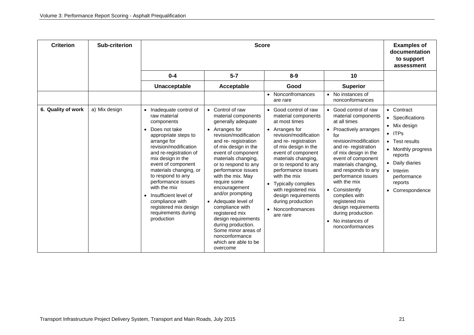| <b>Criterion</b>   | Sub-criterion |                                                                                                                                                                                                                                                                                                                                                                                                          | <b>Score</b>                                                                                                                                                                                                                                                                                                                                                                                                                                                                                                        |                                                                                                                                                                                                                                                                                                                                                                                                                                                                                                                                                                                                                                                                                                                                                                                                                                                            | <b>Examples of</b><br>documentation<br>to support<br>assessment                                                                                                                                          |
|--------------------|---------------|----------------------------------------------------------------------------------------------------------------------------------------------------------------------------------------------------------------------------------------------------------------------------------------------------------------------------------------------------------------------------------------------------------|---------------------------------------------------------------------------------------------------------------------------------------------------------------------------------------------------------------------------------------------------------------------------------------------------------------------------------------------------------------------------------------------------------------------------------------------------------------------------------------------------------------------|------------------------------------------------------------------------------------------------------------------------------------------------------------------------------------------------------------------------------------------------------------------------------------------------------------------------------------------------------------------------------------------------------------------------------------------------------------------------------------------------------------------------------------------------------------------------------------------------------------------------------------------------------------------------------------------------------------------------------------------------------------------------------------------------------------------------------------------------------------|----------------------------------------------------------------------------------------------------------------------------------------------------------------------------------------------------------|
|                    |               | $0 - 4$                                                                                                                                                                                                                                                                                                                                                                                                  | $5 - 7$                                                                                                                                                                                                                                                                                                                                                                                                                                                                                                             | $8 - 9$<br>10                                                                                                                                                                                                                                                                                                                                                                                                                                                                                                                                                                                                                                                                                                                                                                                                                                              |                                                                                                                                                                                                          |
|                    |               | Unacceptable                                                                                                                                                                                                                                                                                                                                                                                             | Acceptable                                                                                                                                                                                                                                                                                                                                                                                                                                                                                                          | <b>Superior</b><br>Good                                                                                                                                                                                                                                                                                                                                                                                                                                                                                                                                                                                                                                                                                                                                                                                                                                    |                                                                                                                                                                                                          |
|                    |               |                                                                                                                                                                                                                                                                                                                                                                                                          |                                                                                                                                                                                                                                                                                                                                                                                                                                                                                                                     | • No instances of<br>Nonconfromances<br>$\bullet$<br>nonconformances<br>are rare                                                                                                                                                                                                                                                                                                                                                                                                                                                                                                                                                                                                                                                                                                                                                                           |                                                                                                                                                                                                          |
| 6. Quality of work | a) Mix design | Inadequate control of<br>raw material<br>components<br>Does not take<br>appropriate steps to<br>arrange for<br>revision/modification<br>and re-registration of<br>mix design in the<br>event of component<br>materials changing, or<br>to respond to any<br>performance issues<br>with the mix<br>Insufficient level of<br>compliance with<br>registered mix design<br>requirements during<br>production | • Control of raw<br>material components<br>generally adequate<br>• Arranges for<br>revision/modification<br>and re- registration<br>of mix design in the<br>event of component<br>materials changing,<br>or to respond to any<br>performance issues<br>with the mix. May<br>require some<br>encouragement<br>and/or prompting<br>• Adequate level of<br>compliance with<br>registered mix<br>design requirements<br>during production.<br>Some minor areas of<br>nonconformance<br>which are able to be<br>overcome | Good control of raw<br>• Good control of raw<br>$\bullet$<br>material components<br>material components<br>at all times<br>at most times<br>• Arranges for<br>• Proactively arranges<br>revision/modification<br>for<br>revision/modification<br>and re- registration<br>of mix design in the<br>and re-registration<br>event of component<br>of mix design in the<br>materials changing,<br>event of component<br>or to respond to any<br>materials changing,<br>performance issues<br>and responds to any<br>with the mix<br>performance issues<br>with the mix<br>Typically complies<br>$\bullet$<br>with registered mix<br>• Consistently<br>design requirements<br>complies with<br>during production<br>registered mix<br>design requirements<br>Nonconfromances<br>during production<br>are rare<br>No instances of<br>$\bullet$<br>nonconformances | • Contract<br>• Specifications<br>• Mix design<br>$\bullet$ ITPs<br>Test results<br>• Monthly progress<br>reports<br>• Daily diaries<br>Interim<br>$\bullet$<br>performance<br>reports<br>Correspondence |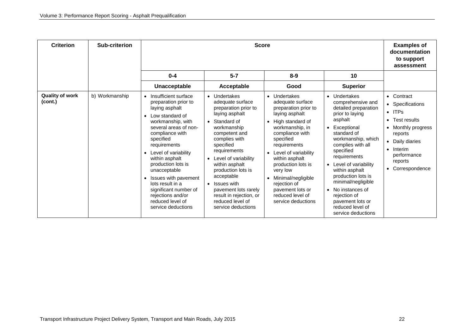| <b>Criterion</b>                  | Sub-criterion  |                                                                                                                                                                                                                                                                                                                                                                                                                                            | <b>Examples of</b><br>documentation<br>to support<br>assessment                                                                                                                                                                                                                                                                                                         |                                                                                                                                                                                                                                                                                                                                                                           |                                                                                                                                                                                                                                                                                                                                                                                            |                                                                                                                                                                                                                        |
|-----------------------------------|----------------|--------------------------------------------------------------------------------------------------------------------------------------------------------------------------------------------------------------------------------------------------------------------------------------------------------------------------------------------------------------------------------------------------------------------------------------------|-------------------------------------------------------------------------------------------------------------------------------------------------------------------------------------------------------------------------------------------------------------------------------------------------------------------------------------------------------------------------|---------------------------------------------------------------------------------------------------------------------------------------------------------------------------------------------------------------------------------------------------------------------------------------------------------------------------------------------------------------------------|--------------------------------------------------------------------------------------------------------------------------------------------------------------------------------------------------------------------------------------------------------------------------------------------------------------------------------------------------------------------------------------------|------------------------------------------------------------------------------------------------------------------------------------------------------------------------------------------------------------------------|
|                                   |                | $0 - 4$                                                                                                                                                                                                                                                                                                                                                                                                                                    | $5-7$                                                                                                                                                                                                                                                                                                                                                                   | $8 - 9$                                                                                                                                                                                                                                                                                                                                                                   | 10                                                                                                                                                                                                                                                                                                                                                                                         |                                                                                                                                                                                                                        |
|                                   |                | Unacceptable                                                                                                                                                                                                                                                                                                                                                                                                                               | Acceptable                                                                                                                                                                                                                                                                                                                                                              | Good                                                                                                                                                                                                                                                                                                                                                                      | <b>Superior</b>                                                                                                                                                                                                                                                                                                                                                                            |                                                                                                                                                                                                                        |
| <b>Quality of work</b><br>(cont.) | b) Workmanship | Insufficient surface<br>preparation prior to<br>laying asphalt<br>Low standard of<br>$\bullet$<br>workmanship, with<br>several areas of non-<br>compliance with<br>specified<br>requirements<br>Level of variability<br>$\bullet$<br>within asphalt<br>production lots is<br>unacceptable<br>Issues with pavement<br>$\bullet$<br>lots result in a<br>significant number of<br>rejections and/or<br>reduced level of<br>service deductions | • Undertakes<br>adequate surface<br>preparation prior to<br>laying asphalt<br>• Standard of<br>workmanship<br>competent and<br>complies with<br>specified<br>requirements<br>• Level of variability<br>within asphalt<br>production lots is<br>acceptable<br>• Issues with<br>pavement lots rarely<br>result in rejection, or<br>reduced level of<br>service deductions | Undertakes<br>$\bullet$<br>adequate surface<br>preparation prior to<br>laying asphalt<br>High standard of<br>$\bullet$<br>workmanship, in<br>compliance with<br>specified<br>requirements<br>Level of variability<br>within asphalt<br>production lots is<br>very low<br>Minimal/negligible<br>rejection of<br>pavement lots or<br>reduced level of<br>service deductions | • Undertakes<br>comprehensive and<br>detailed preparation<br>prior to laying<br>asphalt<br>• Exceptional<br>standard of<br>workmanship, which<br>complies with all<br>specified<br>requirements<br>• Level of variability<br>within asphalt<br>production lots is<br>minimal/negligible<br>• No instances of<br>rejection of<br>pavement lots or<br>reduced level of<br>service deductions | • Contract<br>Specifications<br>$\bullet$<br><b>ITPs</b><br>$\bullet$<br>Test results<br>$\bullet$<br>Monthly progress<br>reports<br>Daily diaries<br>Interim<br>$\bullet$<br>performance<br>reports<br>Correspondence |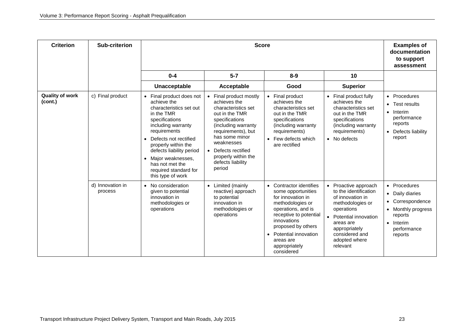| <b>Criterion</b>                  | Sub-criterion               |                                                                                                                                                                                                                                                                                                                                      | <b>Examples of</b><br>documentation<br>to support<br>assessment                                                                                                                                                                                           |                                                                                                                                                                                                                                                                                                                                                                                                                                                                        |                                                                                                                                                                                    |
|-----------------------------------|-----------------------------|--------------------------------------------------------------------------------------------------------------------------------------------------------------------------------------------------------------------------------------------------------------------------------------------------------------------------------------|-----------------------------------------------------------------------------------------------------------------------------------------------------------------------------------------------------------------------------------------------------------|------------------------------------------------------------------------------------------------------------------------------------------------------------------------------------------------------------------------------------------------------------------------------------------------------------------------------------------------------------------------------------------------------------------------------------------------------------------------|------------------------------------------------------------------------------------------------------------------------------------------------------------------------------------|
|                                   |                             | $0 - 4$                                                                                                                                                                                                                                                                                                                              | $5 - 7$                                                                                                                                                                                                                                                   | $8 - 9$<br>10                                                                                                                                                                                                                                                                                                                                                                                                                                                          |                                                                                                                                                                                    |
|                                   |                             | Unacceptable                                                                                                                                                                                                                                                                                                                         | Acceptable                                                                                                                                                                                                                                                | Good<br><b>Superior</b>                                                                                                                                                                                                                                                                                                                                                                                                                                                |                                                                                                                                                                                    |
| <b>Quality of work</b><br>(cont.) | c) Final product            | Final product does not<br>$\bullet$<br>achieve the<br>characteristics set out<br>in the TMR<br>specifications<br>including warranty<br>requirements<br>Defects not rectified<br>$\bullet$<br>properly within the<br>defects liability period<br>• Major weaknesses,<br>has not met the<br>required standard for<br>this type of work | Final product mostly<br>achieves the<br>characteristics set<br>out in the TMR<br>specifications<br>(including warranty<br>requirements), but<br>has some minor<br>weaknesses<br>• Defects rectified<br>properly within the<br>defects liability<br>period | • Final product<br>• Final product fully<br>achieves the<br>achieves the<br>characteristics set<br>characteristics set<br>out in the TMR<br>out in the TMR<br>specifications<br>specifications<br>(including warranty<br>(including warranty<br>requirements)<br>requirements)<br>• Few defects which<br>• No defects<br>are rectified                                                                                                                                 | Procedures<br>$\bullet$<br>Test results<br>$\bullet$<br>Interim<br>performance<br>reports<br>Defects liability<br>$\bullet$<br>report                                              |
|                                   | d) Innovation in<br>process | No consideration<br>$\bullet$<br>given to potential<br>innovation in<br>methodologies or<br>operations                                                                                                                                                                                                                               | Limited (mainly<br>$\bullet$<br>reactive) approach<br>to potential<br>innovation in<br>methodologies or<br>operations                                                                                                                                     | Contractor identifies<br>Proactive approach<br>$\bullet$<br>to the identification<br>some opportunities<br>for innovation in<br>of innovation in<br>methodologies or<br>methodologies or<br>operations, and is<br>operations<br>receptive to potential<br>Potential innovation<br>innovations<br>areas are<br>proposed by others<br>appropriately<br>• Potential innovation<br>considered and<br>adopted where<br>areas are<br>appropriately<br>relevant<br>considered | Procedures<br>$\bullet$<br>Daily diaries<br>$\bullet$<br>Correspondence<br>$\bullet$<br>Monthly progress<br>$\bullet$<br>reports<br>Interim<br>$\bullet$<br>performance<br>reports |